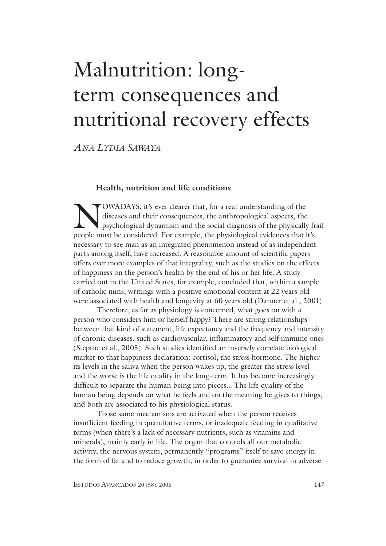# Malnutrition: longterm consequences and nutritional recovery effects

*ANA LYDIA SAWAYA*

### **Health, nutrition and life conditions**

NOWADAYS, it's ever clearer that, for a real understanding of the diseases and their consequences, the anthropological aspects, the psychological dynamism and the social diagnosis of the physically people must be considere diseases and their consequences, the anthropological aspects, the psychological dynamism and the social diagnosis of the physically frail people must be considered. For example, the physiological evidences that it's necessary to see man as an integrated phenomenon instead of as independent parts among itself, have increased. A reasonable amount of scientific papers offers ever more examples of that integrality, such as the studies on the effects of happiness on the person's health by the end of his or her life. A study carried out in the United States, for example, concluded that, within a sample of catholic nuns, writings with a positive emotional content at 22 years old were associated with health and longevity at 60 years old (Danner et al., 2001).

 Therefore, as far as physiology is concerned, what goes on with a person who considers him or herself happy? There are strong relationships between that kind of statement, life expectancy and the frequency and intensity of chronic diseases, such as cardiovascular, inflammatory and self-immune ones (Steptoe et al., 2005). Such studies identified an inversely correlate biological marker to that happiness declaration: cortisol, the stress hormone. The higher its levels in the saliva when the person wakes up, the greater the stress level and the worse is the life quality in the long-term. It has become increasingly difficult to separate the human being into pieces... The life quality of the human being depends on what he feels and on the meaning he gives to things, and both are associated to his physiological status.

 Those same mechanisms are activated when the person receives insufficient feeding in quantitative terms, or inadequate feeding in qualitative terms (when there's a lack of necessary nutrients, such as vitamins and minerals), mainly early in life. The organ that controls all our metabolic activity, the nervous system, permanently "programs" itself to save energy in the form of fat and to reduce growth, in order to guarantee survival in adverse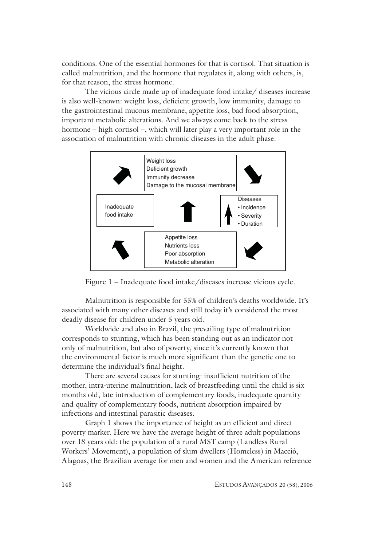conditions. One of the essential hormones for that is cortisol. That situation is called malnutrition, and the hormone that regulates it, along with others, is, for that reason, the stress hormone.

 The vicious circle made up of inadequate food intake/ diseases increase is also well-known: weight loss, deficient growth, low immunity, damage to the gastrointestinal mucous membrane, appetite loss, bad food absorption, important metabolic alterations. And we always come back to the stress hormone – high cortisol –, which will later play a very important role in the association of malnutrition with chronic diseases in the adult phase.





Malnutrition is responsible for 55% of children's deaths worldwide. It's associated with many other diseases and still today it's considered the most deadly disease for children under 5 years old.

Worldwide and also in Brazil, the prevailing type of malnutrition corresponds to stunting, which has been standing out as an indicator not only of malnutrition, but also of poverty, since it's currently known that the environmental factor is much more significant than the genetic one to determine the individual's final height.

 There are several causes for stunting: insufficient nutrition of the mother, intra-uterine malnutrition, lack of breastfeeding until the child is six months old, late introduction of complementary foods, inadequate quantity and quality of complementary foods, nutrient absorption impaired by infections and intestinal parasitic diseases.

Graph 1 shows the importance of height as an efficient and direct poverty marker. Here we have the average height of three adult populations over 18 years old: the population of a rural MST camp (Landless Rural Workers' Movement), a population of slum dwellers (Homeless) in Maceió, Alagoas, the Brazilian average for men and women and the American reference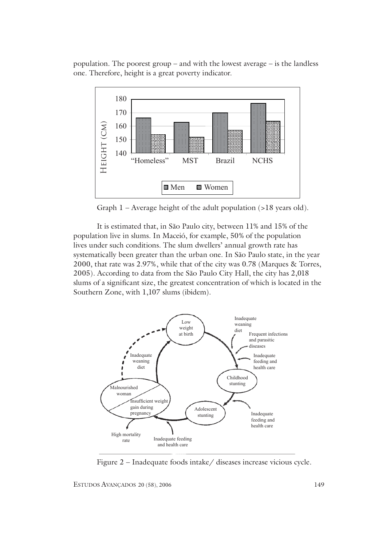population. The poorest group – and with the lowest average – is the landless one. Therefore, height is a great poverty indicator.



Graph 1 – Average height of the adult population (>18 years old).

It is estimated that, in São Paulo city, between 11% and 15% of the population live in slums. In Maceió, for example, 50% of the population lives under such conditions. The slum dwellers' annual growth rate has systematically been greater than the urban one. In São Paulo state, in the year 2000, that rate was 2.97%, while that of the city was 0.78 (Marques & Torres, 2005). According to data from the São Paulo City Hall, the city has 2,018 slums of a significant size, the greatest concentration of which is located in the Southern Zone, with 1,107 slums (ibidem).

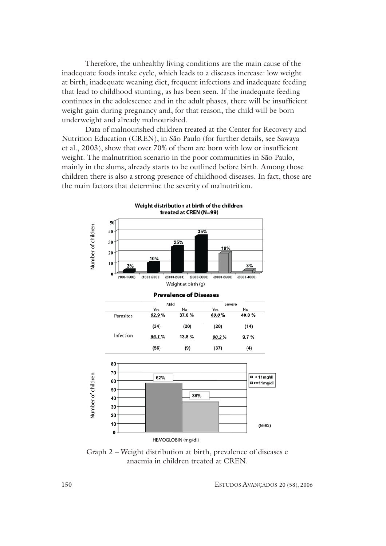Therefore, the unhealthy living conditions are the main cause of the inadequate foods intake cycle, which leads to a diseases increase: low weight at birth, inadequate weaning diet, frequent infections and inadequate feeding that lead to childhood stunting, as has been seen. If the inadequate feeding continues in the adolescence and in the adult phases, there will be insufficient weight gain during pregnancy and, for that reason, the child will be born underweight and already malnourished.

 Data of malnourished children treated at the Center for Recovery and Nutrition Education (CREN), in São Paulo (for further details, see Sawaya et al., 2003), show that over 70% of them are born with low or insufficient weight. The malnutrition scenario in the poor communities in São Paulo, mainly in the slums, already starts to be outlined before birth. Among those children there is also a strong presence of childhood diseases. In fact, those are the main factors that determine the severity of malnutrition.



Weight distribution at birth of the children treated at CREN (N=99)

Graph 2 – Weight distribution at birth, prevalence of diseases e anaemia in children treated at CREN.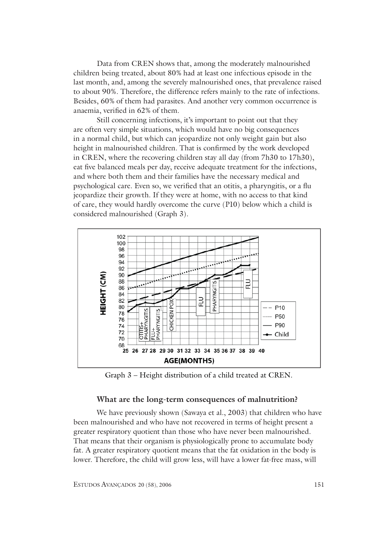Data from CREN shows that, among the moderately malnourished children being treated, about 80% had at least one infectious episode in the last month, and, among the severely malnourished ones, that prevalence raised to about 90%. Therefore, the difference refers mainly to the rate of infections. Besides, 60% of them had parasites. And another very common occurrence is anaemia, verified in 62% of them.

 Still concerning infections, it's important to point out that they are often very simple situations, which would have no big consequences in a normal child, but which can jeopardize not only weight gain but also height in malnourished children. That is confirmed by the work developed in CREN, where the recovering children stay all day (from 7h30 to 17h30), eat five balanced meals per day, receive adequate treatment for the infections, and where both them and their families have the necessary medical and psychological care. Even so, we verified that an otitis, a pharyngitis, or a flu jeopardize their growth. If they were at home, with no access to that kind of care, they would hardly overcome the curve (P10) below which a child is considered malnourished (Graph 3).



Graph 3 – Height distribution of a child treated at CREN.

### **What are the long-term consequences of malnutrition?**

We have previously shown (Sawaya et al., 2003) that children who have been malnourished and who have not recovered in terms of height present a greater respiratory quotient than those who have never been malnourished. That means that their organism is physiologically prone to accumulate body fat. A greater respiratory quotient means that the fat oxidation in the body is lower. Therefore, the child will grow less, will have a lower fat-free mass, will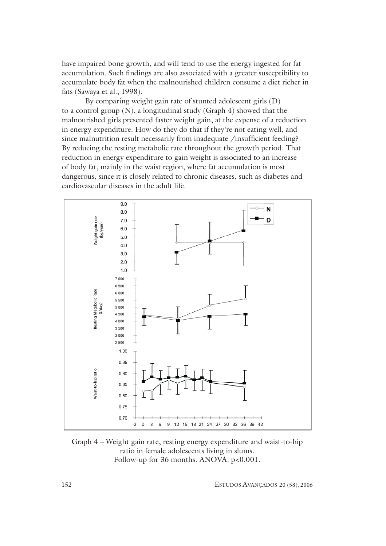have impaired bone growth, and will tend to use the energy ingested for fat accumulation. Such findings are also associated with a greater susceptibility to accumulate body fat when the malnourished children consume a diet richer in fats (Sawaya et al., 1998).

By comparing weight gain rate of stunted adolescent girls (D) to a control group (N), a longitudinal study (Graph 4) showed that the malnourished girls presented faster weight gain, at the expense of a reduction in energy expenditure. How do they do that if they're not eating well, and since malnutrition result necessarily from inadequate /insufficient feeding? By reducing the resting metabolic rate throughout the growth period. That reduction in energy expenditure to gain weight is associated to an increase of body fat, mainly in the waist region, where fat accumulation is most dangerous, since it is closely related to chronic diseases, such as diabetes and cardiovascular diseases in the adult life.



Graph 4 – Weight gain rate, resting energy expenditure and waist-to-hip ratio in female adolescents living in slums. Follow-up for 36 months. ANOVA:  $p<0.001$ .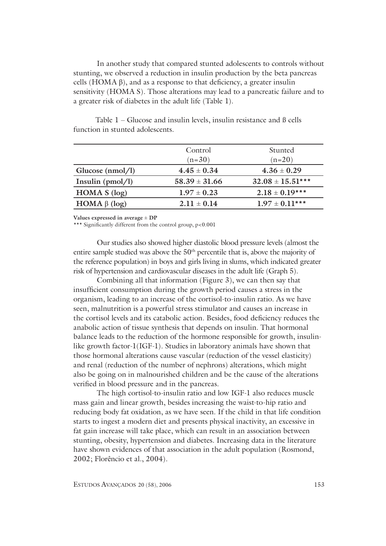In another study that compared stunted adolescents to controls without stunting, we observed a reduction in insulin production by the beta pancreas cells  $(HOMA \beta)$ , and as a response to that deficiency, a greater insulin sensitivity (HOMA S). Those alterations may lead to a pancreatic failure and to a greater risk of diabetes in the adult life (Table 1).

|                    | Control<br>$(n=30)$ | Stunted<br>$(n=20)$  |
|--------------------|---------------------|----------------------|
| Glucose $(nmol/l)$ | $4.45 \pm 0.34$     | $4.36 \pm 0.29$      |
| Insulin $(pmol/l)$ | $58.39 \pm 31.66$   | $32.08 \pm 15.51***$ |
| HOMA S (log)       | $1.97 \pm 0.23$     | $2.18 \pm 0.19***$   |
| HOMA $\beta$ (log) | $2.11 \pm 0.14$     | $1.97 \pm 0.11***$   |

Table 1 – Glucose and insulin levels, insulin resistance and ß cells function in stunted adolescents.

**Values expressed in average** ± **DP**

\*\*\* Significantly different from the control group, p<0.001

 Our studies also showed higher diastolic blood pressure levels (almost the entire sample studied was above the 50th percentile that is, above the majority of the reference population) in boys and girls living in slums, which indicated greater risk of hypertension and cardiovascular diseases in the adult life (Graph 5).

Combining all that information (Figure 3), we can then say that insufficient consumption during the growth period causes a stress in the organism, leading to an increase of the cortisol-to-insulin ratio. As we have seen, malnutrition is a powerful stress stimulator and causes an increase in the cortisol levels and its catabolic action. Besides, food deficiency reduces the anabolic action of tissue synthesis that depends on insulin. That hormonal balance leads to the reduction of the hormone responsible for growth, insulinlike growth factor-1(IGF-1). Studies in laboratory animals have shown that those hormonal alterations cause vascular (reduction of the vessel elasticity) and renal (reduction of the number of nephrons) alterations, which might also be going on in malnourished children and be the cause of the alterations verified in blood pressure and in the pancreas.

 The high cortisol-to-insulin ratio and low IGF-1 also reduces muscle mass gain and linear growth, besides increasing the waist-to-hip ratio and reducing body fat oxidation, as we have seen. If the child in that life condition starts to ingest a modern diet and presents physical inactivity, an excessive in fat gain increase will take place, which can result in an association between stunting, obesity, hypertension and diabetes. Increasing data in the literature have shown evidences of that association in the adult population (Rosmond, 2002; Florêncio et al., 2004).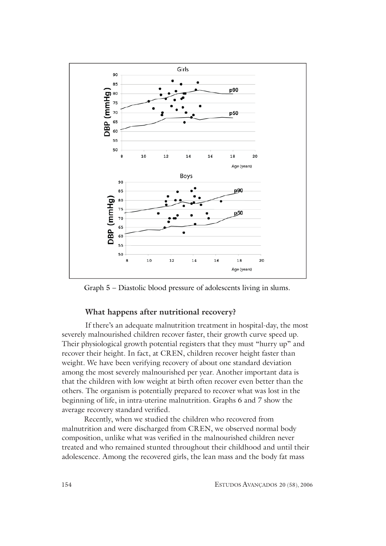

Graph 5 – Diastolic blood pressure of adolescents living in slums.

## **What happens after nutritional recovery?**

If there's an adequate malnutrition treatment in hospital-day, the most severely malnourished children recover faster, their growth curve speed up. Their physiological growth potential registers that they must "hurry up" and recover their height. In fact, at CREN, children recover height faster than weight. We have been verifying recovery of about one standard deviation among the most severely malnourished per year. Another important data is that the children with low weight at birth often recover even better than the others. The organism is potentially prepared to recover what was lost in the beginning of life, in intra-uterine malnutrition. Graphs 6 and 7 show the average recovery standard verified.

Recently, when we studied the children who recovered from malnutrition and were discharged from CREN, we observed normal body composition, unlike what was verified in the malnourished children never treated and who remained stunted throughout their childhood and until their adolescence. Among the recovered girls, the lean mass and the body fat mass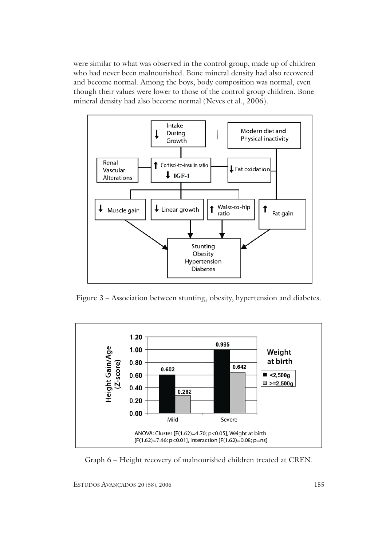were similar to what was observed in the control group, made up of children who had never been malnourished. Bone mineral density had also recovered and become normal. Among the boys, body composition was normal, even though their values were lower to those of the control group children. Bone mineral density had also become normal (Neves et al., 2006).



Figure 3 – Association between stunting, obesity, hypertension and diabetes.



Graph 6 – Height recovery of malnourished children treated at CREN.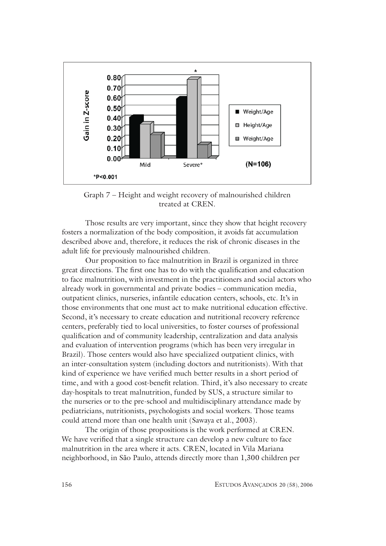

Graph 7 – Height and weight recovery of malnourished children treated at CREN.

 Those results are very important, since they show that height recovery fosters a normalization of the body composition, it avoids fat accumulation described above and, therefore, it reduces the risk of chronic diseases in the adult life for previously malnourished children.

 Our proposition to face malnutrition in Brazil is organized in three great directions. The first one has to do with the qualification and education to face malnutrition, with investment in the practitioners and social actors who already work in governmental and private bodies – communication media, outpatient clinics, nurseries, infantile education centers, schools, etc. It's in those environments that one must act to make nutritional education effective. Second, it's necessary to create education and nutritional recovery reference centers, preferably tied to local universities, to foster courses of professional qualification and of community leadership, centralization and data analysis and evaluation of intervention programs (which has been very irregular in Brazil). Those centers would also have specialized outpatient clinics, with an inter-consultation system (including doctors and nutritionists). With that kind of experience we have verified much better results in a short period of time, and with a good cost-benefit relation. Third, it's also necessary to create day-hospitals to treat malnutrition, funded by SUS, a structure similar to the nurseries or to the pre-school and multidisciplinary attendance made by pediatricians, nutritionists, psychologists and social workers. Those teams could attend more than one health unit (Sawaya et al., 2003).

 The origin of those propositions is the work performed at CREN. We have verified that a single structure can develop a new culture to face malnutrition in the area where it acts. CREN, located in Vila Mariana neighborhood, in São Paulo, attends directly more than 1,300 children per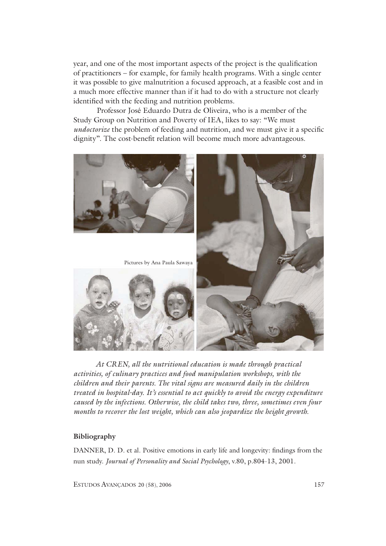year, and one of the most important aspects of the project is the qualification of practitioners – for example, for family health programs. With a single center it was possible to give malnutrition a focused approach, at a feasible cost and in a much more effective manner than if it had to do with a structure not clearly identified with the feeding and nutrition problems.

Professor José Eduardo Dutra de Oliveira, who is a member of the Study Group on Nutrition and Poverty of IEA, likes to say: "We must *undoctorize* the problem of feeding and nutrition, and we must give it a specific dignity". The cost-benefit relation will become much more advantageous.



*At CREN, all the nutritional education is made through practical activities, of culinary practices and food manipulation workshops, with the children and their parents. The vital signs are measured daily in the children treated in hospital-day. It's essential to act quickly to avoid the energy expenditure caused by the infections. Otherwise, the child takes two, three, sometimes even four months to recover the lost weight, which can also jeopardize the height growth.*

### **Bibliography**

DANNER, D. D. et al. Positive emotions in early life and longevity: findings from the nun study. *Journal of Personality and Social Psychology*, v.80, p.804-13, 2001.